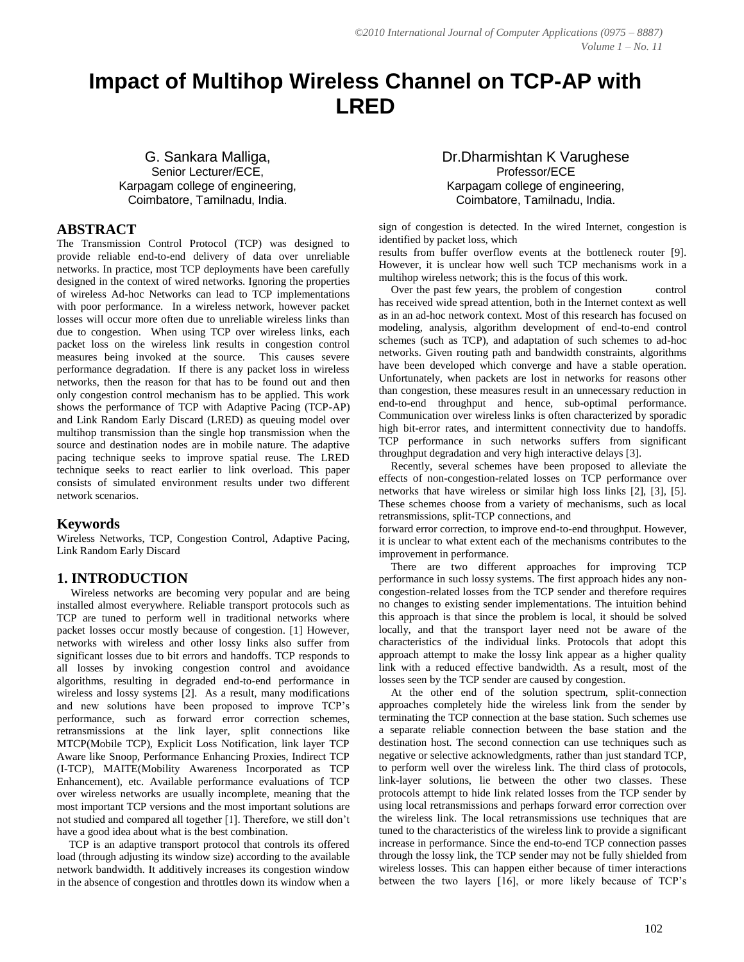# **Impact of Multihop Wireless Channel on TCP-AP with LRED**

G. Sankara Malliga, Senior Lecturer/ECE, Karpagam college of engineering, Coimbatore, Tamilnadu, India.

## **ABSTRACT**

The Transmission Control Protocol (TCP) was designed to provide reliable end-to-end delivery of data over unreliable networks. In practice, most TCP deployments have been carefully designed in the context of wired networks. Ignoring the properties of wireless Ad-hoc Networks can lead to TCP implementations with poor performance. In a wireless network, however packet losses will occur more often due to unreliable wireless links than due to congestion. When using TCP over wireless links, each packet loss on the wireless link results in congestion control measures being invoked at the source. This causes severe performance degradation. If there is any packet loss in wireless networks, then the reason for that has to be found out and then only congestion control mechanism has to be applied. This work shows the performance of TCP with Adaptive Pacing (TCP-AP) and Link Random Early Discard (LRED) as queuing model over multihop transmission than the single hop transmission when the source and destination nodes are in mobile nature. The adaptive pacing technique seeks to improve spatial reuse. The LRED technique seeks to react earlier to link overload. This paper consists of simulated environment results under two different network scenarios.

## **Keywords**

Wireless Networks, TCP, Congestion Control, Adaptive Pacing, Link Random Early Discard

# **1. INTRODUCTION**

 Wireless networks are becoming very popular and are being installed almost everywhere. Reliable transport protocols such as TCP are tuned to perform well in traditional networks where packet losses occur mostly because of congestion. [1] However, networks with wireless and other lossy links also suffer from significant losses due to bit errors and handoffs. TCP responds to all losses by invoking congestion control and avoidance algorithms, resulting in degraded end-to-end performance in wireless and lossy systems [2]. As a result, many modifications and new solutions have been proposed to improve TCP's performance, such as forward error correction schemes, retransmissions at the link layer, split connections like MTCP(Mobile TCP), Explicit Loss Notification, link layer TCP Aware like Snoop, Performance Enhancing Proxies, Indirect TCP (I-TCP), MAITE(Mobility Awareness Incorporated as TCP Enhancement), etc. Available performance evaluations of TCP over wireless networks are usually incomplete, meaning that the most important TCP versions and the most important solutions are not studied and compared all together [1]. Therefore, we still don't have a good idea about what is the best combination.

TCP is an adaptive transport protocol that controls its offered load (through adjusting its window size) according to the available network bandwidth. It additively increases its congestion window in the absence of congestion and throttles down its window when a Dr.Dharmishtan K Varughese Professor/ECE Karpagam college of engineering, Coimbatore, Tamilnadu, India.

sign of congestion is detected. In the wired Internet, congestion is identified by packet loss, which

results from buffer overflow events at the bottleneck router [9]. However, it is unclear how well such TCP mechanisms work in a multihop wireless network; this is the focus of this work.

Over the past few years, the problem of congestion control has received wide spread attention, both in the Internet context as well as in an ad-hoc network context. Most of this research has focused on modeling, analysis, algorithm development of end-to-end control schemes (such as TCP), and adaptation of such schemes to ad-hoc networks. Given routing path and bandwidth constraints, algorithms have been developed which converge and have a stable operation. Unfortunately, when packets are lost in networks for reasons other than congestion, these measures result in an unnecessary reduction in end-to-end throughput and hence, sub-optimal performance. Communication over wireless links is often characterized by sporadic high bit-error rates, and intermittent connectivity due to handoffs. TCP performance in such networks suffers from significant throughput degradation and very high interactive delays [3].

Recently, several schemes have been proposed to alleviate the effects of non-congestion-related losses on TCP performance over networks that have wireless or similar high loss links [2], [3], [5]. These schemes choose from a variety of mechanisms, such as local retransmissions, split-TCP connections, and

forward error correction, to improve end-to-end throughput. However, it is unclear to what extent each of the mechanisms contributes to the improvement in performance.

There are two different approaches for improving TCP performance in such lossy systems. The first approach hides any noncongestion-related losses from the TCP sender and therefore requires no changes to existing sender implementations. The intuition behind this approach is that since the problem is local, it should be solved locally, and that the transport layer need not be aware of the characteristics of the individual links. Protocols that adopt this approach attempt to make the lossy link appear as a higher quality link with a reduced effective bandwidth. As a result, most of the losses seen by the TCP sender are caused by congestion.

At the other end of the solution spectrum, split-connection approaches completely hide the wireless link from the sender by terminating the TCP connection at the base station. Such schemes use a separate reliable connection between the base station and the destination host. The second connection can use techniques such as negative or selective acknowledgments, rather than just standard TCP, to perform well over the wireless link. The third class of protocols, link-layer solutions, lie between the other two classes. These protocols attempt to hide link related losses from the TCP sender by using local retransmissions and perhaps forward error correction over the wireless link. The local retransmissions use techniques that are tuned to the characteristics of the wireless link to provide a significant increase in performance. Since the end-to-end TCP connection passes through the lossy link, the TCP sender may not be fully shielded from wireless losses. This can happen either because of timer interactions between the two layers [16], or more likely because of TCP's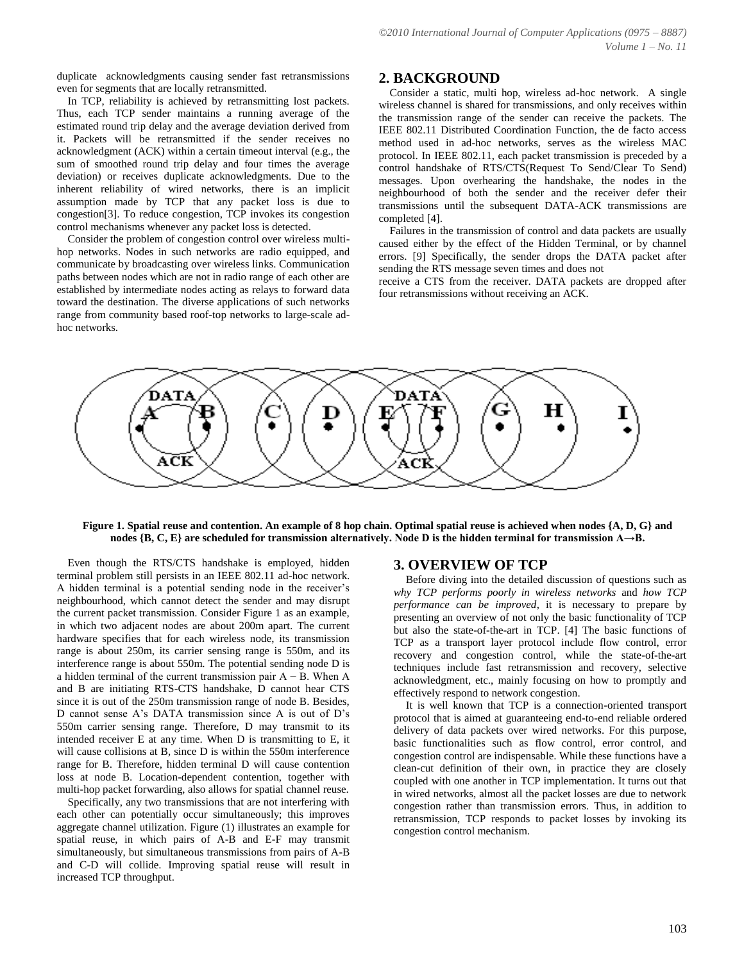duplicate acknowledgments causing sender fast retransmissions even for segments that are locally retransmitted.

In TCP, reliability is achieved by retransmitting lost packets. Thus, each TCP sender maintains a running average of the estimated round trip delay and the average deviation derived from it. Packets will be retransmitted if the sender receives no acknowledgment (ACK) within a certain timeout interval (e.g., the sum of smoothed round trip delay and four times the average deviation) or receives duplicate acknowledgments. Due to the inherent reliability of wired networks, there is an implicit assumption made by TCP that any packet loss is due to congestion[3]. To reduce congestion, TCP invokes its congestion control mechanisms whenever any packet loss is detected.

Consider the problem of congestion control over wireless multihop networks. Nodes in such networks are radio equipped, and communicate by broadcasting over wireless links. Communication paths between nodes which are not in radio range of each other are established by intermediate nodes acting as relays to forward data toward the destination. The diverse applications of such networks range from community based roof-top networks to large-scale adhoc networks.

#### **2. BACKGROUND**

Consider a static, multi hop, wireless ad-hoc network. A single wireless channel is shared for transmissions, and only receives within the transmission range of the sender can receive the packets. The IEEE 802.11 Distributed Coordination Function, the de facto access method used in ad-hoc networks, serves as the wireless MAC protocol. In IEEE 802.11, each packet transmission is preceded by a control handshake of RTS/CTS(Request To Send/Clear To Send) messages. Upon overhearing the handshake, the nodes in the neighbourhood of both the sender and the receiver defer their transmissions until the subsequent DATA-ACK transmissions are completed [4].

Failures in the transmission of control and data packets are usually caused either by the effect of the Hidden Terminal, or by channel errors. [9] Specifically, the sender drops the DATA packet after sending the RTS message seven times and does not

receive a CTS from the receiver. DATA packets are dropped after four retransmissions without receiving an ACK.



**Figure 1. Spatial reuse and contention. An example of 8 hop chain. Optimal spatial reuse is achieved when nodes {A, D, G} and nodes {B, C, E} are scheduled for transmission alternatively. Node D is the hidden terminal for transmission A→B.**

Even though the RTS/CTS handshake is employed, hidden terminal problem still persists in an IEEE 802.11 ad-hoc network. A hidden terminal is a potential sending node in the receiver's neighbourhood, which cannot detect the sender and may disrupt the current packet transmission. Consider Figure 1 as an example, in which two adjacent nodes are about 200m apart. The current hardware specifies that for each wireless node, its transmission range is about 250m, its carrier sensing range is 550m, and its interference range is about 550m. The potential sending node D is a hidden terminal of the current transmission pair A − B. When A and B are initiating RTS-CTS handshake, D cannot hear CTS since it is out of the 250m transmission range of node B. Besides, D cannot sense A's DATA transmission since A is out of D's 550m carrier sensing range. Therefore, D may transmit to its intended receiver E at any time. When D is transmitting to E, it will cause collisions at B, since D is within the 550m interference range for B. Therefore, hidden terminal D will cause contention loss at node B. Location-dependent contention, together with multi-hop packet forwarding, also allows for spatial channel reuse.

Specifically, any two transmissions that are not interfering with each other can potentially occur simultaneously; this improves aggregate channel utilization. Figure (1) illustrates an example for spatial reuse, in which pairs of A-B and E-F may transmit simultaneously, but simultaneous transmissions from pairs of A-B and C-D will collide. Improving spatial reuse will result in increased TCP throughput.

#### **3. OVERVIEW OF TCP**

Before diving into the detailed discussion of questions such as *why TCP performs poorly in wireless networks* and *how TCP performance can be improved*, it is necessary to prepare by presenting an overview of not only the basic functionality of TCP but also the state-of-the-art in TCP. [4] The basic functions of TCP as a transport layer protocol include flow control, error recovery and congestion control, while the state-of-the-art techniques include fast retransmission and recovery, selective acknowledgment, etc., mainly focusing on how to promptly and effectively respond to network congestion.

It is well known that TCP is a connection-oriented transport protocol that is aimed at guaranteeing end-to-end reliable ordered delivery of data packets over wired networks. For this purpose, basic functionalities such as flow control, error control, and congestion control are indispensable. While these functions have a clean-cut definition of their own, in practice they are closely coupled with one another in TCP implementation. It turns out that in wired networks, almost all the packet losses are due to network congestion rather than transmission errors. Thus, in addition to retransmission, TCP responds to packet losses by invoking its congestion control mechanism.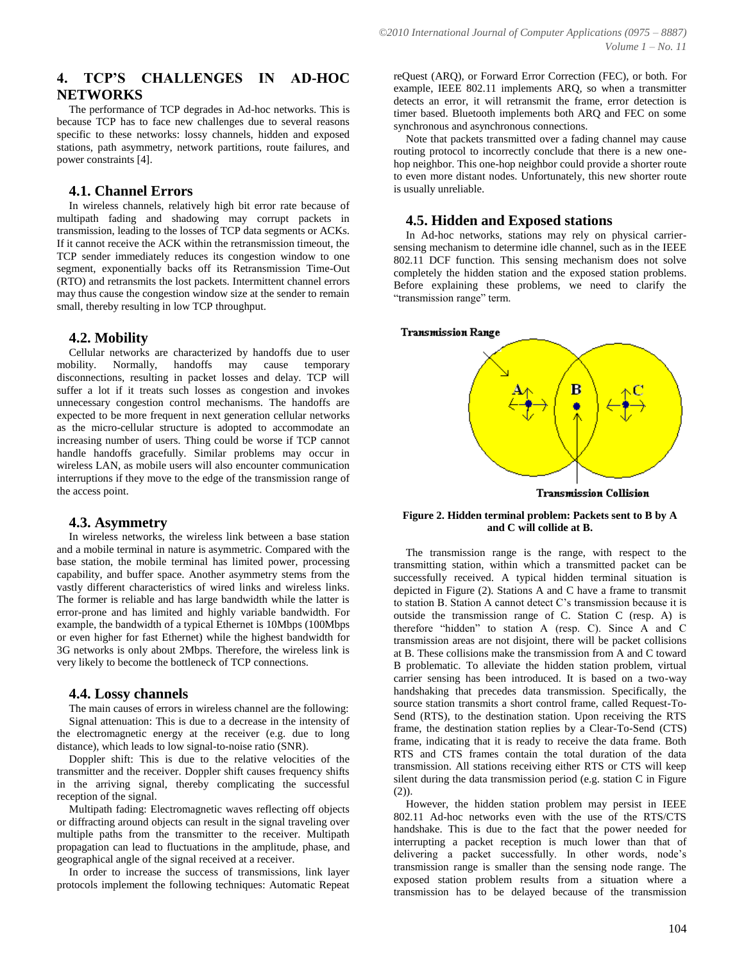# **4. TCP'S CHALLENGES IN AD-HOC NETWORKS**

The performance of TCP degrades in Ad-hoc networks. This is because TCP has to face new challenges due to several reasons specific to these networks: lossy channels, hidden and exposed stations, path asymmetry, network partitions, route failures, and power constraints [4].

## **4.1. Channel Errors**

In wireless channels, relatively high bit error rate because of multipath fading and shadowing may corrupt packets in transmission, leading to the losses of TCP data segments or ACKs. If it cannot receive the ACK within the retransmission timeout, the TCP sender immediately reduces its congestion window to one segment, exponentially backs off its Retransmission Time-Out (RTO) and retransmits the lost packets. Intermittent channel errors may thus cause the congestion window size at the sender to remain small, thereby resulting in low TCP throughput.

## **4.2. Mobility**

Cellular networks are characterized by handoffs due to user mobility. Normally, handoffs may cause temporary disconnections, resulting in packet losses and delay. TCP will suffer a lot if it treats such losses as congestion and invokes unnecessary congestion control mechanisms. The handoffs are expected to be more frequent in next generation cellular networks as the micro-cellular structure is adopted to accommodate an increasing number of users. Thing could be worse if TCP cannot handle handoffs gracefully. Similar problems may occur in wireless LAN, as mobile users will also encounter communication interruptions if they move to the edge of the transmission range of the access point.

## **4.3. Asymmetry**

In wireless networks, the wireless link between a base station and a mobile terminal in nature is asymmetric. Compared with the base station, the mobile terminal has limited power, processing capability, and buffer space. Another asymmetry stems from the vastly different characteristics of wired links and wireless links. The former is reliable and has large bandwidth while the latter is error-prone and has limited and highly variable bandwidth. For example, the bandwidth of a typical Ethernet is 10Mbps (100Mbps or even higher for fast Ethernet) while the highest bandwidth for 3G networks is only about 2Mbps. Therefore, the wireless link is very likely to become the bottleneck of TCP connections.

## **4.4. Lossy channels**

The main causes of errors in wireless channel are the following: Signal attenuation: This is due to a decrease in the intensity of the electromagnetic energy at the receiver (e.g. due to long distance), which leads to low signal-to-noise ratio (SNR).

Doppler shift: This is due to the relative velocities of the transmitter and the receiver. Doppler shift causes frequency shifts in the arriving signal, thereby complicating the successful reception of the signal.

Multipath fading: Electromagnetic waves reflecting off objects or diffracting around objects can result in the signal traveling over multiple paths from the transmitter to the receiver. Multipath propagation can lead to fluctuations in the amplitude, phase, and geographical angle of the signal received at a receiver.

In order to increase the success of transmissions, link layer protocols implement the following techniques: Automatic Repeat reQuest (ARQ), or Forward Error Correction (FEC), or both. For example, IEEE 802.11 implements ARQ, so when a transmitter detects an error, it will retransmit the frame, error detection is timer based. Bluetooth implements both ARQ and FEC on some synchronous and asynchronous connections.

Note that packets transmitted over a fading channel may cause routing protocol to incorrectly conclude that there is a new onehop neighbor. This one-hop neighbor could provide a shorter route to even more distant nodes. Unfortunately, this new shorter route is usually unreliable.

## **4.5. Hidden and Exposed stations**

In Ad-hoc networks, stations may rely on physical carriersensing mechanism to determine idle channel, such as in the IEEE 802.11 DCF function. This sensing mechanism does not solve completely the hidden station and the exposed station problems. Before explaining these problems, we need to clarify the "transmission range" term.





**Figure 2. Hidden terminal problem: Packets sent to B by A and C will collide at B.**

The transmission range is the range, with respect to the transmitting station, within which a transmitted packet can be successfully received. A typical hidden terminal situation is depicted in Figure (2). Stations A and C have a frame to transmit to station B. Station A cannot detect C's transmission because it is outside the transmission range of C. Station C (resp. A) is therefore "hidden" to station A (resp. C). Since A and C transmission areas are not disjoint, there will be packet collisions at B. These collisions make the transmission from A and C toward B problematic. To alleviate the hidden station problem, virtual carrier sensing has been introduced. It is based on a two-way handshaking that precedes data transmission. Specifically, the source station transmits a short control frame, called Request-To-Send (RTS), to the destination station. Upon receiving the RTS frame, the destination station replies by a Clear-To-Send (CTS) frame, indicating that it is ready to receive the data frame. Both RTS and CTS frames contain the total duration of the data transmission. All stations receiving either RTS or CTS will keep silent during the data transmission period (e.g. station C in Figure (2)).

However, the hidden station problem may persist in IEEE 802.11 Ad-hoc networks even with the use of the RTS/CTS handshake. This is due to the fact that the power needed for interrupting a packet reception is much lower than that of delivering a packet successfully. In other words, node's transmission range is smaller than the sensing node range. The exposed station problem results from a situation where a transmission has to be delayed because of the transmission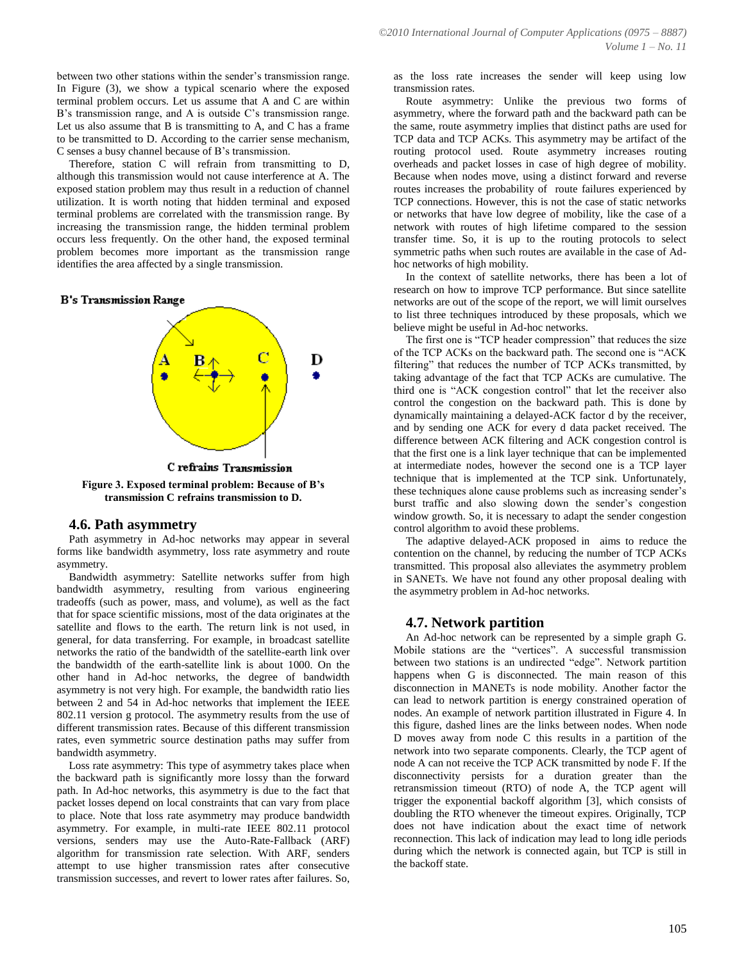between two other stations within the sender's transmission range. In Figure (3), we show a typical scenario where the exposed terminal problem occurs. Let us assume that A and C are within B's transmission range, and A is outside C's transmission range. Let us also assume that B is transmitting to A, and C has a frame to be transmitted to D. According to the carrier sense mechanism, C senses a busy channel because of B's transmission.

Therefore, station C will refrain from transmitting to D, although this transmission would not cause interference at A. The exposed station problem may thus result in a reduction of channel utilization. It is worth noting that hidden terminal and exposed terminal problems are correlated with the transmission range. By increasing the transmission range, the hidden terminal problem occurs less frequently. On the other hand, the exposed terminal problem becomes more important as the transmission range identifies the area affected by a single transmission.

#### **B's Transmission Range**



**Figure 3. Exposed terminal problem: Because of B's transmission C refrains transmission to D.**

#### **4.6. Path asymmetry**

Path asymmetry in Ad-hoc networks may appear in several forms like bandwidth asymmetry, loss rate asymmetry and route asymmetry.

Bandwidth asymmetry: Satellite networks suffer from high bandwidth asymmetry, resulting from various engineering tradeoffs (such as power, mass, and volume), as well as the fact that for space scientific missions, most of the data originates at the satellite and flows to the earth. The return link is not used, in general, for data transferring. For example, in broadcast satellite networks the ratio of the bandwidth of the satellite-earth link over the bandwidth of the earth-satellite link is about 1000. On the other hand in Ad-hoc networks, the degree of bandwidth asymmetry is not very high. For example, the bandwidth ratio lies between 2 and 54 in Ad-hoc networks that implement the IEEE 802.11 version g protocol. The asymmetry results from the use of different transmission rates. Because of this different transmission rates, even symmetric source destination paths may suffer from bandwidth asymmetry.

Loss rate asymmetry: This type of asymmetry takes place when the backward path is significantly more lossy than the forward path. In Ad-hoc networks, this asymmetry is due to the fact that packet losses depend on local constraints that can vary from place to place. Note that loss rate asymmetry may produce bandwidth asymmetry. For example, in multi-rate IEEE 802.11 protocol versions, senders may use the Auto-Rate-Fallback (ARF) algorithm for transmission rate selection. With ARF, senders attempt to use higher transmission rates after consecutive transmission successes, and revert to lower rates after failures. So,

as the loss rate increases the sender will keep using low transmission rates.

Route asymmetry: Unlike the previous two forms of asymmetry, where the forward path and the backward path can be the same, route asymmetry implies that distinct paths are used for TCP data and TCP ACKs. This asymmetry may be artifact of the routing protocol used. Route asymmetry increases routing overheads and packet losses in case of high degree of mobility. Because when nodes move, using a distinct forward and reverse routes increases the probability of route failures experienced by TCP connections. However, this is not the case of static networks or networks that have low degree of mobility, like the case of a network with routes of high lifetime compared to the session transfer time. So, it is up to the routing protocols to select symmetric paths when such routes are available in the case of Adhoc networks of high mobility.

In the context of satellite networks, there has been a lot of research on how to improve TCP performance. But since satellite networks are out of the scope of the report, we will limit ourselves to list three techniques introduced by these proposals, which we believe might be useful in Ad-hoc networks.

The first one is "TCP header compression" that reduces the size of the TCP ACKs on the backward path. The second one is "ACK filtering" that reduces the number of TCP ACKs transmitted, by taking advantage of the fact that TCP ACKs are cumulative. The third one is "ACK congestion control" that let the receiver also control the congestion on the backward path. This is done by dynamically maintaining a delayed-ACK factor d by the receiver, and by sending one ACK for every d data packet received. The difference between ACK filtering and ACK congestion control is that the first one is a link layer technique that can be implemented at intermediate nodes, however the second one is a TCP layer technique that is implemented at the TCP sink. Unfortunately, these techniques alone cause problems such as increasing sender's burst traffic and also slowing down the sender's congestion window growth. So, it is necessary to adapt the sender congestion control algorithm to avoid these problems.

The adaptive delayed-ACK proposed in aims to reduce the contention on the channel, by reducing the number of TCP ACKs transmitted. This proposal also alleviates the asymmetry problem in SANETs. We have not found any other proposal dealing with the asymmetry problem in Ad-hoc networks.

## **4.7. Network partition**

An Ad-hoc network can be represented by a simple graph G. Mobile stations are the "vertices". A successful transmission between two stations is an undirected "edge". Network partition happens when G is disconnected. The main reason of this disconnection in MANETs is node mobility. Another factor the can lead to network partition is energy constrained operation of nodes. An example of network partition illustrated in Figure 4. In this figure, dashed lines are the links between nodes. When node D moves away from node C this results in a partition of the network into two separate components. Clearly, the TCP agent of node A can not receive the TCP ACK transmitted by node F. If the disconnectivity persists for a duration greater than the retransmission timeout (RTO) of node A, the TCP agent will trigger the exponential backoff algorithm [3], which consists of doubling the RTO whenever the timeout expires. Originally, TCP does not have indication about the exact time of network reconnection. This lack of indication may lead to long idle periods during which the network is connected again, but TCP is still in the backoff state.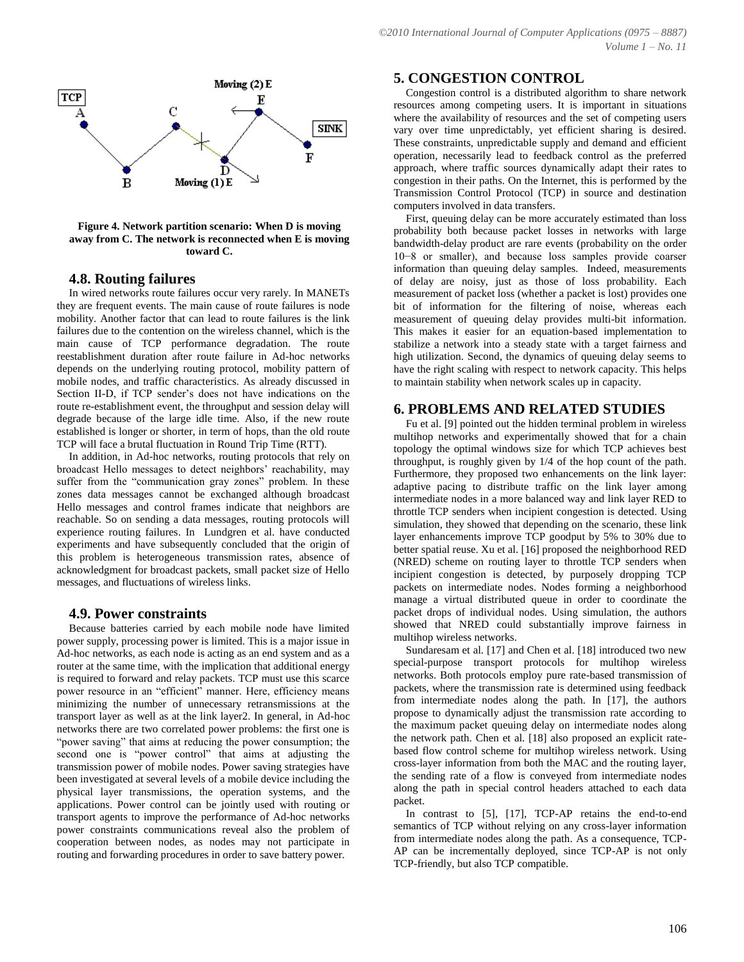

**Figure 4. Network partition scenario: When D is moving away from C. The network is reconnected when E is moving toward C.**

#### **4.8. Routing failures**

In wired networks route failures occur very rarely. In MANETs they are frequent events. The main cause of route failures is node mobility. Another factor that can lead to route failures is the link failures due to the contention on the wireless channel, which is the main cause of TCP performance degradation. The route reestablishment duration after route failure in Ad-hoc networks depends on the underlying routing protocol, mobility pattern of mobile nodes, and traffic characteristics. As already discussed in Section II-D, if TCP sender's does not have indications on the route re-establishment event, the throughput and session delay will degrade because of the large idle time. Also, if the new route established is longer or shorter, in term of hops, than the old route TCP will face a brutal fluctuation in Round Trip Time (RTT).

In addition, in Ad-hoc networks, routing protocols that rely on broadcast Hello messages to detect neighbors' reachability, may suffer from the "communication gray zones" problem. In these zones data messages cannot be exchanged although broadcast Hello messages and control frames indicate that neighbors are reachable. So on sending a data messages, routing protocols will experience routing failures. In Lundgren et al. have conducted experiments and have subsequently concluded that the origin of this problem is heterogeneous transmission rates, absence of acknowledgment for broadcast packets, small packet size of Hello messages, and fluctuations of wireless links.

#### **4.9. Power constraints**

Because batteries carried by each mobile node have limited power supply, processing power is limited. This is a major issue in Ad-hoc networks, as each node is acting as an end system and as a router at the same time, with the implication that additional energy is required to forward and relay packets. TCP must use this scarce power resource in an "efficient" manner. Here, efficiency means minimizing the number of unnecessary retransmissions at the transport layer as well as at the link layer2. In general, in Ad-hoc networks there are two correlated power problems: the first one is "power saving" that aims at reducing the power consumption; the second one is "power control" that aims at adjusting the transmission power of mobile nodes. Power saving strategies have been investigated at several levels of a mobile device including the physical layer transmissions, the operation systems, and the applications. Power control can be jointly used with routing or transport agents to improve the performance of Ad-hoc networks power constraints communications reveal also the problem of cooperation between nodes, as nodes may not participate in routing and forwarding procedures in order to save battery power.

#### **5. CONGESTION CONTROL**

Congestion control is a distributed algorithm to share network resources among competing users. It is important in situations where the availability of resources and the set of competing users vary over time unpredictably, yet efficient sharing is desired. These constraints, unpredictable supply and demand and efficient operation, necessarily lead to feedback control as the preferred approach, where traffic sources dynamically adapt their rates to congestion in their paths. On the Internet, this is performed by the Transmission Control Protocol (TCP) in source and destination computers involved in data transfers.

First, queuing delay can be more accurately estimated than loss probability both because packet losses in networks with large bandwidth-delay product are rare events (probability on the order 10−8 or smaller), and because loss samples provide coarser information than queuing delay samples. Indeed, measurements of delay are noisy, just as those of loss probability. Each measurement of packet loss (whether a packet is lost) provides one bit of information for the filtering of noise, whereas each measurement of queuing delay provides multi-bit information. This makes it easier for an equation-based implementation to stabilize a network into a steady state with a target fairness and high utilization. Second, the dynamics of queuing delay seems to have the right scaling with respect to network capacity. This helps to maintain stability when network scales up in capacity.

#### **6. PROBLEMS AND RELATED STUDIES**

Fu et al. [9] pointed out the hidden terminal problem in wireless multihop networks and experimentally showed that for a chain topology the optimal windows size for which TCP achieves best throughput, is roughly given by 1/4 of the hop count of the path. Furthermore, they proposed two enhancements on the link layer: adaptive pacing to distribute traffic on the link layer among intermediate nodes in a more balanced way and link layer RED to throttle TCP senders when incipient congestion is detected. Using simulation, they showed that depending on the scenario, these link layer enhancements improve TCP goodput by 5% to 30% due to better spatial reuse. Xu et al. [16] proposed the neighborhood RED (NRED) scheme on routing layer to throttle TCP senders when incipient congestion is detected, by purposely dropping TCP packets on intermediate nodes. Nodes forming a neighborhood manage a virtual distributed queue in order to coordinate the packet drops of individual nodes. Using simulation, the authors showed that NRED could substantially improve fairness in multihop wireless networks.

Sundaresam et al. [17] and Chen et al. [18] introduced two new special-purpose transport protocols for multihop wireless networks. Both protocols employ pure rate-based transmission of packets, where the transmission rate is determined using feedback from intermediate nodes along the path. In [17], the authors propose to dynamically adjust the transmission rate according to the maximum packet queuing delay on intermediate nodes along the network path. Chen et al. [18] also proposed an explicit ratebased flow control scheme for multihop wireless network. Using cross-layer information from both the MAC and the routing layer, the sending rate of a flow is conveyed from intermediate nodes along the path in special control headers attached to each data packet.

In contrast to [5], [17], TCP-AP retains the end-to-end semantics of TCP without relying on any cross-layer information from intermediate nodes along the path. As a consequence, TCP-AP can be incrementally deployed, since TCP-AP is not only TCP-friendly, but also TCP compatible.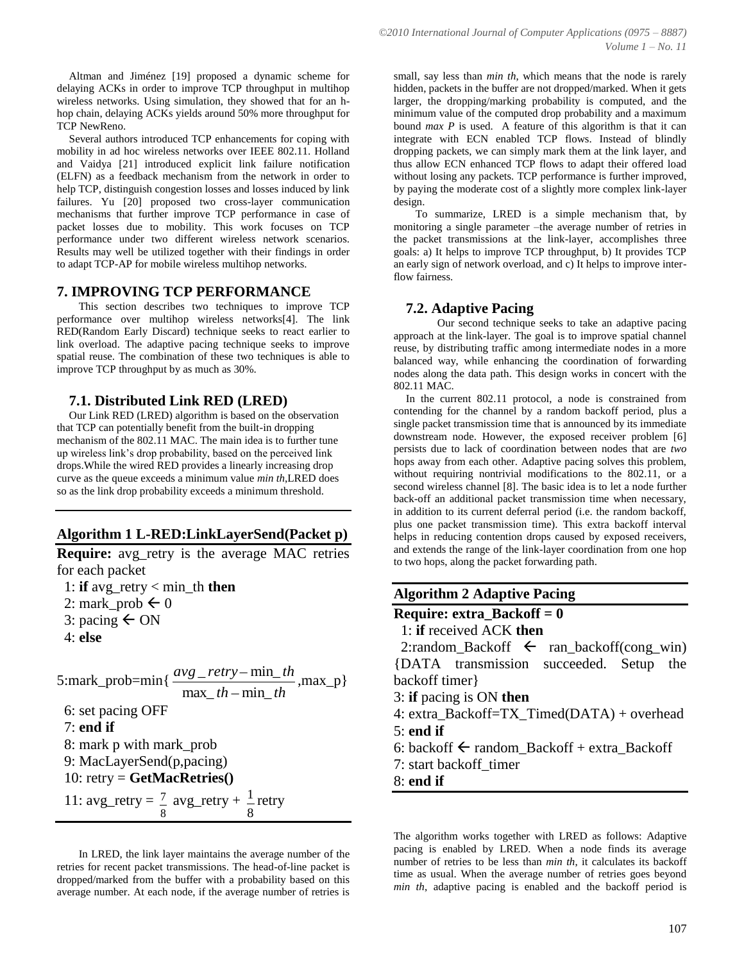Altman and Jiménez [19] proposed a dynamic scheme for delaying ACKs in order to improve TCP throughput in multihop wireless networks. Using simulation, they showed that for an hhop chain, delaying ACKs yields around 50% more throughput for TCP NewReno.

Several authors introduced TCP enhancements for coping with mobility in ad hoc wireless networks over IEEE 802.11. Holland and Vaidya [21] introduced explicit link failure notification (ELFN) as a feedback mechanism from the network in order to help TCP, distinguish congestion losses and losses induced by link failures. Yu [20] proposed two cross-layer communication mechanisms that further improve TCP performance in case of packet losses due to mobility. This work focuses on TCP performance under two different wireless network scenarios. Results may well be utilized together with their findings in order to adapt TCP-AP for mobile wireless multihop networks.

### **7. IMPROVING TCP PERFORMANCE**

This section describes two techniques to improve TCP performance over multihop wireless networks[4]. The link RED(Random Early Discard) technique seeks to react earlier to link overload. The adaptive pacing technique seeks to improve spatial reuse. The combination of these two techniques is able to improve TCP throughput by as much as 30%.

## **7.1. Distributed Link RED (LRED)**

Our Link RED (LRED) algorithm is based on the observation that TCP can potentially benefit from the built-in dropping mechanism of the 802.11 MAC. The main idea is to further tune up wireless link's drop probability, based on the perceived link drops.While the wired RED provides a linearly increasing drop curve as the queue exceeds a minimum value *min th*,LRED does so as the link drop probability exceeds a minimum threshold.

## **Algorithm 1 L-RED:LinkLayerSend(Packet p)**

**Require:** avg\_retry is the average MAC retries for each packet

- 1: **if** avg\_retry < min\_th **then**
- 2: mark\_prob  $\leftarrow 0$
- 3: pacing  $\leftarrow$  ON
- 4: **else**

5:mark\_prob=min{ 
$$
\frac{avg\_retry-min_th}{max_th-min_th}
$$
, max\_p}  
\n6: set pacing OFF  
\n7: end if  
\n8: mark p with mark\_prob  
\n9: MacLayerSend(p, pacing)  
\n10: retry = GetMacRetries()  
\n11: avg\_retry =  $\frac{7}{8}$  avg\_retry +  $\frac{1}{8}$ retry

In LRED, the link layer maintains the average number of the retries for recent packet transmissions. The head-of-line packet is dropped/marked from the buffer with a probability based on this average number. At each node, if the average number of retries is small, say less than *min th*, which means that the node is rarely hidden, packets in the buffer are not dropped/marked. When it gets larger, the dropping/marking probability is computed, and the minimum value of the computed drop probability and a maximum bound *max P* is used. A feature of this algorithm is that it can integrate with ECN enabled TCP flows. Instead of blindly dropping packets, we can simply mark them at the link layer, and thus allow ECN enhanced TCP flows to adapt their offered load without losing any packets. TCP performance is further improved, by paying the moderate cost of a slightly more complex link-layer design.

To summarize, LRED is a simple mechanism that, by monitoring a single parameter –the average number of retries in the packet transmissions at the link-layer, accomplishes three goals: a) It helps to improve TCP throughput, b) It provides TCP an early sign of network overload, and c) It helps to improve interflow fairness.

## **7.2. Adaptive Pacing**

Our second technique seeks to take an adaptive pacing approach at the link-layer. The goal is to improve spatial channel reuse, by distributing traffic among intermediate nodes in a more balanced way, while enhancing the coordination of forwarding nodes along the data path. This design works in concert with the 802.11 MAC.

In the current 802.11 protocol, a node is constrained from contending for the channel by a random backoff period, plus a single packet transmission time that is announced by its immediate downstream node. However, the exposed receiver problem [6] persists due to lack of coordination between nodes that are *two*  hops away from each other. Adaptive pacing solves this problem, without requiring nontrivial modifications to the 802.11, or a second wireless channel [8]. The basic idea is to let a node further back-off an additional packet transmission time when necessary, in addition to its current deferral period (i.e. the random backoff, plus one packet transmission time). This extra backoff interval helps in reducing contention drops caused by exposed receivers, and extends the range of the link-layer coordination from one hop to two hops, along the packet forwarding path.

## **Algorithm 2 Adaptive Pacing**

## **Require: extra\_Backoff = 0**

1: **if** received ACK **then**

2:random\_Backoff  $\leftarrow$  ran\_backoff(cong\_win) {DATA transmission succeeded. Setup the backoff timer}

3: **if** pacing is ON **then**

- 4: extra\_Backoff=TX\_Timed(DATA) + overhead
- 5: **end if**
- 6: backoff  $\leftarrow$  random\_Backoff + extra\_Backoff
- 7: start backoff\_timer
- 8: **end if**

The algorithm works together with LRED as follows: Adaptive pacing is enabled by LRED. When a node finds its average number of retries to be less than *min th*, it calculates its backoff time as usual. When the average number of retries goes beyond *min th*, adaptive pacing is enabled and the backoff period is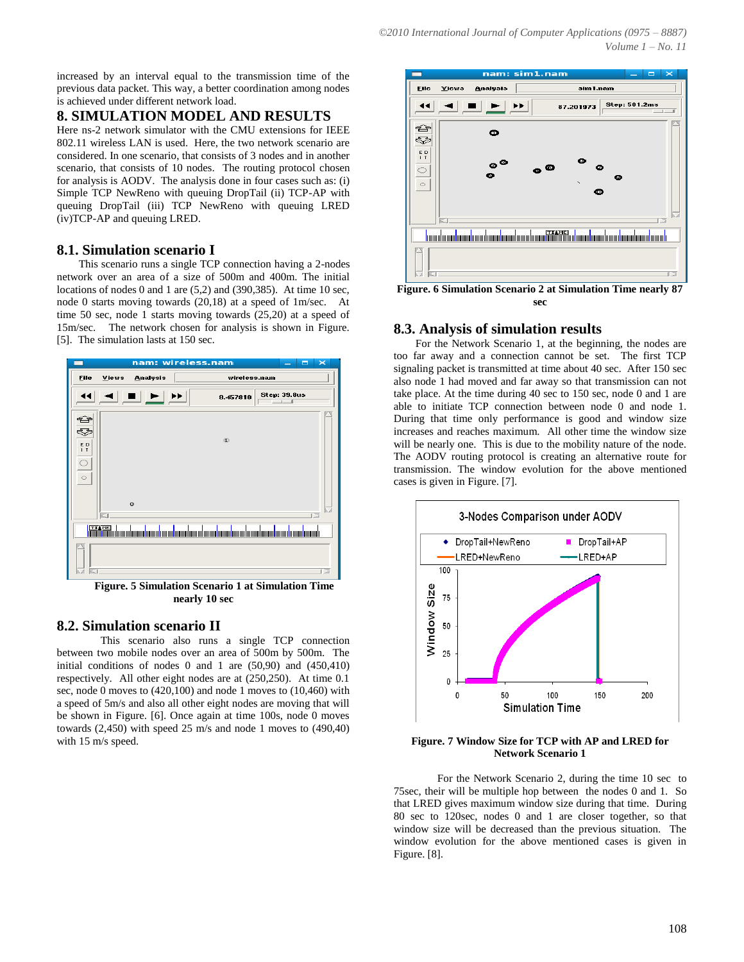increased by an interval equal to the transmission time of the previous data packet. This way, a better coordination among nodes is achieved under different network load.

#### **8. SIMULATION MODEL AND RESULTS**

Here ns-2 network simulator with the CMU extensions for IEEE 802.11 wireless [LAN is](http://lan.is/) used. Here, the two network scenario are considered. In one scenario, that consists of 3 nodes and in another scenario, that consists of 10 nodes. The routing protocol chosen for analysis is AODV. The analysis done in four cases such as: (i) Simple TCP NewReno with queuing DropTail (ii) TCP-AP with queuing DropTail (iii) TCP NewReno with queuing LRED (iv)TCP-AP and queuing LRED.

## **8.1. Simulation scenario I**

This scenario runs a single TCP connection having a 2-nodes network over an area of a size of 500m and 400m. The initial locations of nodes 0 and 1 are (5,2) and (390,385). At time 10 sec, node 0 starts moving towards (20,18) at a speed of 1m/sec. At time 50 sec, node 1 starts moving towards (25,20) at a speed of 15m/sec. The network chosen for analysis is shown in Figure. [5]. The simulation lasts at 150 sec.



**Figure. 5 Simulation Scenario 1 at Simulation Time nearly 10 sec**

## **8.2. Simulation scenario II**

This scenario also runs a single TCP connection between two mobile nodes over an area of 500m by 500m. The initial conditions of nodes 0 and 1 are (50,90) and (450,410) respectively. All other eight nodes are at (250,250). At time 0.1 sec, node 0 moves to (420,100) and node 1 moves to (10,460) with a speed of 5m/s and also all other eight nodes are moving that will be shown in Figure. [6]. Once again at time 100s, node 0 moves towards (2,450) with speed 25 m/s and node 1 moves to (490,40) with 15 m/s speed.



**Figure. 6 Simulation Scenario 2 at Simulation Time nearly 87 sec**

## **8.3. Analysis of simulation results**

For the Network Scenario 1, at the beginning, the nodes are too far away and a connection cannot be set. The first TCP signaling packet is transmitted at time about 40 sec. After 150 sec also node 1 had moved and far away so that transmission can not take place. At the time during 40 sec to 150 sec, node 0 and 1 are able to initiate TCP connection between node 0 and node 1. During that time only performance is good and window size increases and reaches maximum. All other time the window size will be nearly one. This is due to the mobility nature of the node. The AODV routing protocol is creating an alternative route for transmission. The window evolution for the above mentioned cases is given in Figure. [7].



#### **Figure. 7 Window Size for TCP with AP and LRED for Network Scenario 1**

For the Network Scenario 2, during the time 10 sec to 75sec, their will be multiple hop between the nodes 0 and 1. So that LRED gives maximum window size during that time. During 80 sec to 120sec, nodes 0 and 1 are closer together, so that window size will be decreased than the previous situation. The window evolution for the above mentioned cases is given in Figure. [8].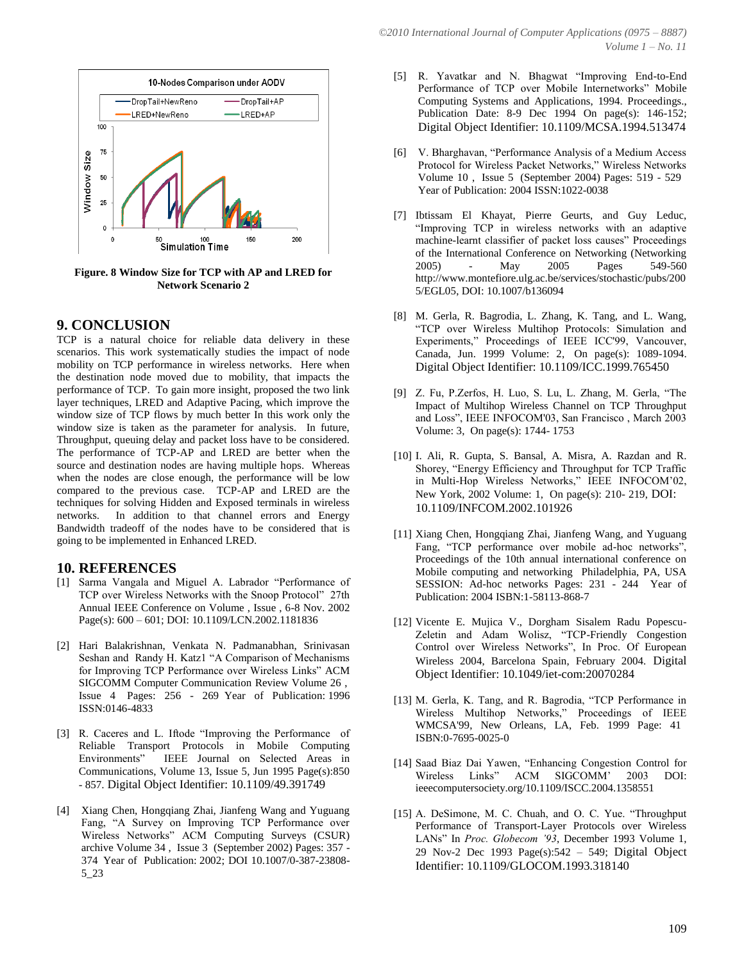

**Figure. 8 Window Size for TCP with AP and LRED for Network Scenario 2**

### **9. CONCLUSION**

TCP is a natural choice for reliable data delivery in these scenarios. This work systematically studies the impact of node mobility on TCP performance in wireless networks. Here when the destination node moved due to mobility, that impacts the performance of TCP. To gain more insight, proposed the two link layer techniques, LRED and Adaptive Pacing, which improve the window size of TCP flows by much better In this work only the window size is taken as the parameter for analysis. In future, Throughput, queuing delay and packet loss have to be considered. The performance of TCP-AP and LRED are better when the source and destination nodes are having multiple hops. Whereas when the nodes are close enough, the performance will be low compared to the previous case. TCP-AP and LRED are the techniques for solving Hidden and Exposed terminals in wireless networks. In addition to that channel errors and Energy Bandwidth tradeoff of the nodes have to be considered that is going to be implemented in Enhanced LRED.

#### **10. REFERENCES**

- [1] Sarma Vangala and Miguel A. Labrador "Performance of TCP over Wireless Networks with the Snoop Protocol" 27th Annual IEEE Conference on Volume , Issue , 6-8 Nov. 2002 Page(s): 600 – 601; DOI: 10.1109/LCN.2002.1181836
- [2] Hari Balakrishnan, Venkata N. Padmanabhan, Srinivasan Seshan and Randy H. Katz1 "A Comparison of Mechanisms for Improving TCP Performance over Wireless Links" ACM SIGCOMM Computer Communication Review Volume 26 , Issue 4 Pages: 256 - 269 Year of Publication: 1996 ISSN:0146-4833
- [3] R. Caceres and L. Iftode "Improving the Performance of Reliable Transport Protocols in Mobile Computing Environments" IEEE Journal on Selected Areas in Communications, Volume 13, Issue 5, Jun 1995 Page(s):850 - 857. Digital Object Identifier: 10.1109/49.391749
- [4] Xiang Chen, Hongqiang Zhai, Jianfeng Wang and Yuguang Fang, "A Survey on Improving TCP Performance over Wireless Networks" ACM Computing Surveys (CSUR) [archive](http://portal.acm.org/toc.cfm?id=J204&type=periodical&coll=GUIDE&dl=GUIDE&CFID=20648724&CFTOKEN=73633350) Volume 34 , Issue 3 (September 2002) Pages: 357 - 374 Year of Publication: 2002; DOI 10.1007/0-387-23808- 5\_23
- [5] R. Yavatkar and N. Bhagwat "Improving End-to-End Performance of TCP over Mobile Internetworks" [Mobile](http://ieeexplore.ieee.org/xpl/RecentCon.jsp?punumber=3875)  [Computing Systems and Applications, 1994. Proceedings.,](http://ieeexplore.ieee.org/xpl/RecentCon.jsp?punumber=3875)  Publication Date: 8-9 Dec 1994 On page(s): 146-152; Digital Object Identifier: 10.1109/MCSA.1994.513474
- [6] V. Bharghavan, "Performance Analysis of a Medium Access Protocol for Wireless Packet Networks," Wireless Networks Volume 10 , Issue 5 (September 2004) Pages: 519 - 529 Year of Publication: 2004 ISSN:1022-0038
- [7] Ibtissam El Khayat, Pierre Geurts, and Guy Leduc, "Improving TCP in wireless networks with an adaptive machine-learnt classifier of packet loss causes" Proceedings of the International Conference on Networking (Networking 2005) - May 2005 Pages 549-560 http://www.montefiore.ulg.ac.be/services/stochastic/pubs/200 5/EGL05, DOI: 10.1007/b136094
- [8] M. Gerla, R. Bagrodia, L. Zhang, K. Tang, and L. Wang, "TCP over Wireless Multihop Protocols: Simulation and Experiments," Proceedings of IEEE ICC'99, Vancouver, Canada, Jun. 1999 Volume: 2, On page(s): 1089-1094. Digital Object Identifier: 10.1109/ICC.1999.765450
- [9] Z. Fu, P.Zerfos, H. Luo, S. Lu, L. Zhang, M. Gerla, "The Impact of Multihop Wireless Channel on TCP Throughput and Loss", IEEE INFOCOM'03, San Francisco , March 2003 Volume: 3, On page(s): 1744- 1753
- [10] I. Ali, R. Gupta, S. Bansal, A. Misra, A. Razdan and R. Shorey, "Energy Efficiency and Throughput for TCP Traffic in Multi-Hop Wireless Networks," IEEE INFOCOM'02, New York, 2002 Volume: 1, On page(s): 210- 219, DOI: 10.1109/INFCOM.2002.101926
- [11] Xiang Chen, Hongqiang Zhai, Jianfeng Wang, and Yuguang Fang, "TCP performance over mobile ad-hoc networks", Proceedings of the 10th annual international conference on Mobile computing and networking Philadelphia, PA, USA SESSION: Ad-hoc networks Pages: 231 - 244 Year of Publication: 2004 ISBN:1-58113-868-7
- [12] Vicente E. Mujica V., Dorgham Sisalem Radu Popescu-Zeletin and Adam Wolisz, "TCP-Friendly Congestion Control over Wireless Networks", In Proc. Of European Wireless 2004, Barcelona Spain, February 2004. Digital Object Identifier: 10.1049/iet-com:20070284
- [13] M. Gerla, K. Tang, and R. Bagrodia, "TCP Performance in Wireless Multihop Networks," Proceedings of IEEE WMCSA'99, New Orleans, LA, Feb. 1999 Page: 41 ISBN:0-7695-0025-0
- [14] Saad Biaz Dai Yawen, "Enhancing Congestion Control for Wireless Links" ACM SIGCOMM' 2003 DOI: ieeecomputersociety.org/10.1109/ISCC.2004.1358551
- [15] A. DeSimone, M. C. Chuah, and O. C. Yue. "Throughput Performance of Transport-Layer Protocols over Wireless LANs" In *Proc. Globecom '93*, December 1993 Volume 1, 29 Nov-2 Dec 1993 Page(s):542 – 549; Digital Object Identifier: 10.1109/GLOCOM.1993.318140